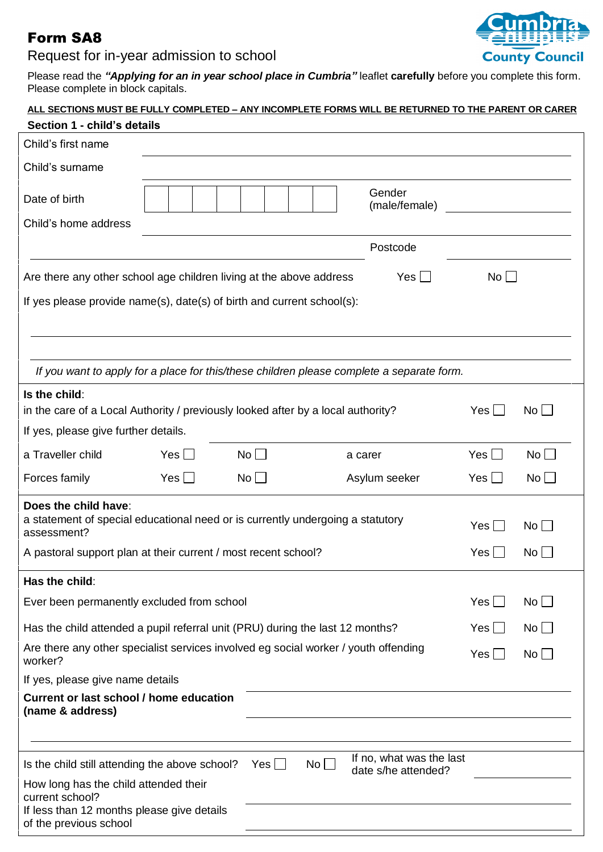## Form SA8

## Request for in-year admission to school



Please read the *"Applying for an in year school place in Cumbria"* leaflet **carefully** before you complete this form. Please complete in block capitals.

| Section 1 - child's details                                                                                                                     |            |             | <u>ALL SECTIONS MUST BE FULLY COMPLETED – ANY INCOMPLETE FORMS WILL BE RETURNED TO THE PARENT OR CARER</u> |              |             |  |  |
|-------------------------------------------------------------------------------------------------------------------------------------------------|------------|-------------|------------------------------------------------------------------------------------------------------------|--------------|-------------|--|--|
| Child's first name                                                                                                                              |            |             |                                                                                                            |              |             |  |  |
| Child's surname                                                                                                                                 |            |             |                                                                                                            |              |             |  |  |
| Date of birth                                                                                                                                   |            |             | Gender<br>(male/female)                                                                                    |              |             |  |  |
| Child's home address                                                                                                                            |            |             |                                                                                                            |              |             |  |  |
|                                                                                                                                                 |            |             | Postcode                                                                                                   |              |             |  |  |
| Are there any other school age children living at the above address                                                                             |            |             | Yes                                                                                                        | No           |             |  |  |
| If yes please provide name(s), date(s) of birth and current school(s):                                                                          |            |             |                                                                                                            |              |             |  |  |
|                                                                                                                                                 |            |             |                                                                                                            |              |             |  |  |
| If you want to apply for a place for this/these children please complete a separate form.                                                       |            |             |                                                                                                            |              |             |  |  |
| Is the child:<br>in the care of a Local Authority / previously looked after by a local authority?<br>$Yes$ $\Box$<br>$No$ $\Box$                |            |             |                                                                                                            |              |             |  |  |
| If yes, please give further details.                                                                                                            |            |             |                                                                                                            |              |             |  |  |
| a Traveller child                                                                                                                               | Yes $\Box$ | $No$ $\Box$ | a carer                                                                                                    | $Yes$ $\Box$ | $No$ $\Box$ |  |  |
| Forces family                                                                                                                                   | Yes $\Box$ | $No$ $\Box$ | Asylum seeker                                                                                              | Yes $\Box$   | No          |  |  |
| Does the child have:<br>a statement of special educational need or is currently undergoing a statutory<br>Yes    <br>$No$ $\Box$<br>assessment? |            |             |                                                                                                            |              |             |  |  |
| $Yes \Box$<br>A pastoral support plan at their current / most recent school?                                                                    |            |             |                                                                                                            |              | $No$ $\Box$ |  |  |
| Has the child:                                                                                                                                  |            |             |                                                                                                            |              |             |  |  |
| Ever been permanently excluded from school                                                                                                      |            |             |                                                                                                            | Yes I        | $No$ $\Box$ |  |  |
| Has the child attended a pupil referral unit (PRU) during the last 12 months?<br>Yes    <br>$\mathsf{No} \bigsqcup$                             |            |             |                                                                                                            |              |             |  |  |
| Are there any other specialist services involved eg social worker / youth offending<br>$Yes$    <br>$No$ $\vert$<br>worker?                     |            |             |                                                                                                            |              |             |  |  |
| If yes, please give name details                                                                                                                |            |             |                                                                                                            |              |             |  |  |
| <b>Current or last school / home education</b><br>(name & address)                                                                              |            |             |                                                                                                            |              |             |  |  |
|                                                                                                                                                 |            |             | If no, what was the last                                                                                   |              |             |  |  |
| Is the child still attending the above school?<br>$Yes \Box$<br>$No$ $\Box$<br>date s/he attended?                                              |            |             |                                                                                                            |              |             |  |  |
| How long has the child attended their<br>current school?                                                                                        |            |             |                                                                                                            |              |             |  |  |
| If less than 12 months please give details<br>of the previous school                                                                            |            |             |                                                                                                            |              |             |  |  |